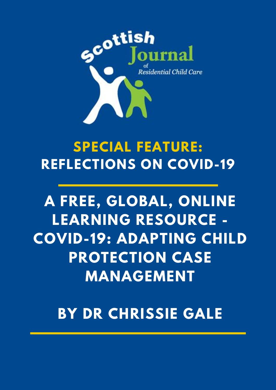

# **SPECIAL FEATURE: REFLECTIONS ON COVID-19**

# **A FREE, GLOBAL, ONLINE LEARNING RESOURCE - COVID-19: ADAPTING CHILD PROTECTION CASE MANAGEMENT**

**BY DR CHRISSIE GALE**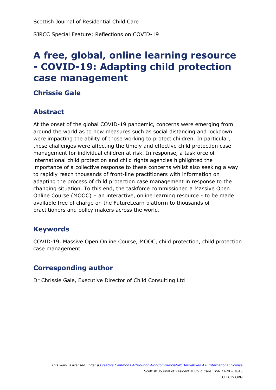SJRCC Special Feature: Reflections on COVID-19

# **A free, global, online learning resource - COVID-19: Adapting child protection case management**

#### **Chrissie Gale**

### **Abstract**

At the onset of the global COVID-19 pandemic, concerns were emerging from around the world as to how measures such as social distancing and lockdown were impacting the ability of those working to protect children. In particular, these challenges were affecting the timely and effective child protection case management for individual children at risk. In response, a taskforce of international child protection and child rights agencies highlighted the importance of a collective response to these concerns whilst also seeking a way to rapidly reach thousands of front-line practitioners with information on adapting the process of child protection case management in response to the changing situation. To this end, the taskforce commissioned a Massive Open Online Course (MOOC) – an interactive, online learning resource - to be made available free of charge on the FutureLearn platform to thousands of practitioners and policy makers across the world.

#### **Keywords**

COVID-19, Massive Open Online Course, MOOC, child protection, child protection case management

#### **Corresponding author**

Dr Chrissie Gale, Executive Director of Child Consulting Ltd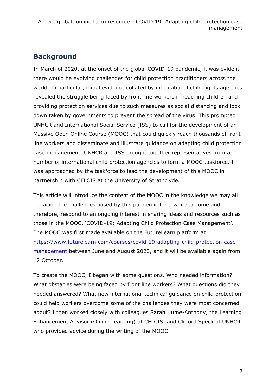# **Background**

In March of 2020, at the onset of the global COVID-19 pandemic, it was evident there would be evolving challenges for child protection practitioners across the world. In particular, initial evidence collated by international child rights agencies revealed the struggle being faced by front line workers in reaching children and providing protection services due to such measures as social distancing and lock down taken by governments to prevent the spread of the virus. This prompted UNHCR and International Social Service (ISS) to call for the development of an Massive Open Online Course (MOOC) that could quickly reach thousands of front line workers and disseminate and illustrate guidance on adapting child protection case management. UNHCR and ISS brought together representatives from a number of international child protection agencies to form a MOOC taskforce. I was approached by the taskforce to lead the development of this MOOC in partnership with CELCIS at the University of Strathclyde.

This article will introduce the content of the MOOC in the knowledge we may all be facing the challenges posed by this pandemic for a while to come and, therefore, respond to an ongoing interest in sharing ideas and resources such as those in the MOOC, 'COVID-19: Adapting Child Protection Case Management'. The MOOC was first made available on the FutureLearn platform at [https://www.futurelearn.com/courses/covid-19-adapting-child-protection-case](https://www.futurelearn.com/courses/covid-19-adapting-child-protection-case-management)[management](https://www.futurelearn.com/courses/covid-19-adapting-child-protection-case-management) between June and August 2020, and it will be available again from 12 October.

To create the MOOC, I began with some questions. Who needed information? What obstacles were being faced by front line workers? What questions did they needed answered? What new international technical guidance on child protection could help workers overcome some of the challenges they were most concerned about? I then worked closely with colleagues Sarah Hume-Anthony, the Learning Enhancement Advisor (Online Learning) at CELCIS, and Clifford Speck of UNHCR who provided advice during the writing of the MOOC.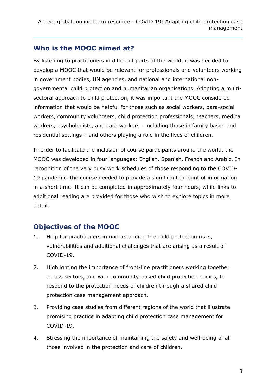### **Who is the MOOC aimed at?**

By listening to practitioners in different parts of the world, it was decided to develop a MOOC that would be relevant for professionals and volunteers working in government bodies, UN agencies, and national and international nongovernmental child protection and humanitarian organisations. Adopting a multisectoral approach to child protection, it was important the MOOC considered information that would be helpful for those such as social workers, para-social workers, community volunteers, child protection professionals, teachers, medical workers, psychologists, and care workers - including those in family based and residential settings – and others playing a role in the lives of children.

In order to facilitate the inclusion of course participants around the world, the MOOC was developed in four languages: English, Spanish, French and Arabic. In recognition of the very busy work schedules of those responding to the COVID-19 pandemic, the course needed to provide a significant amount of information in a short time. It can be completed in approximately four hours, while links to additional reading are provided for those who wish to explore topics in more detail.

#### **Objectives of the MOOC**

- 1. Help for practitioners in understanding the child protection risks, vulnerabilities and additional challenges that are arising as a result of COVID-19.
- 2. Highlighting the importance of front-line practitioners working together across sectors, and with community-based child protection bodies, to respond to the protection needs of children through a shared child protection case management approach.
- 3. Providing case studies from different regions of the world that illustrate promising practice in adapting child protection case management for COVID-19.
- 4. Stressing the importance of maintaining the safety and well-being of all those involved in the protection and care of children.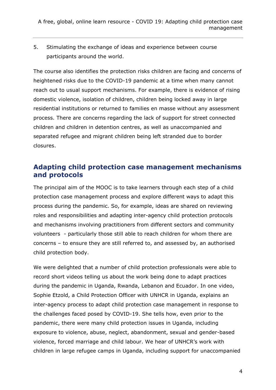5. Stimulating the exchange of ideas and experience between course participants around the world.

The course also identifies the protection risks children are facing and concerns of heightened risks due to the COVID-19 pandemic at a time when many cannot reach out to usual support mechanisms. For example, there is evidence of rising domestic violence, isolation of children, children being locked away in large residential institutions or returned to families en masse without any assessment process. There are concerns regarding the lack of support for street connected children and children in detention centres, as well as unaccompanied and separated refugee and migrant children being left stranded due to border closures.

#### **Adapting child protection case management mechanisms and protocols**

The principal aim of the MOOC is to take learners through each step of a child protection case management process and explore different ways to adapt this process during the pandemic. So, for example, ideas are shared on reviewing roles and responsibilities and adapting inter-agency child protection protocols and mechanisms involving practitioners from different sectors and community volunteers - particularly those still able to reach children for whom there are concerns – to ensure they are still referred to, and assessed by, an authorised child protection body.

We were delighted that a number of child protection professionals were able to record short videos telling us about the work being done to adapt practices during the pandemic in Uganda, Rwanda, Lebanon and Ecuador. In one video, Sophie Etzold, a Child Protection Officer with UNHCR in Uganda, explains an inter-agency process to adapt child protection case management in response to the challenges faced posed by COVID-19. She tells how, even prior to the pandemic, there were many child protection issues in Uganda, including exposure to violence, abuse, neglect, abandonment, sexual and gender-based violence, forced marriage and child labour. We hear of UNHCR's work with children in large refugee camps in Uganda, including support for unaccompanied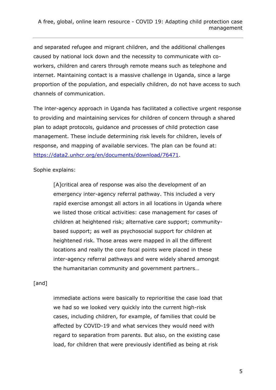and separated refugee and migrant children, and the additional challenges caused by national lock down and the necessity to communicate with coworkers, children and carers through remote means such as telephone and internet. Maintaining contact is a massive challenge in Uganda, since a large proportion of the population, and especially children, do not have access to such channels of communication.

The inter-agency approach in Uganda has facilitated a collective urgent response to providing and maintaining services for children of concern through a shared plan to adapt protocols, guidance and processes of child protection case management. These include determining risk levels for children, levels of response, and mapping of available services. The plan can be found at: [https://data2.unhcr.org/en/documents/download/76471.](https://data2.unhcr.org/en/documents/download/76471)

Sophie explains:

[A]critical area of response was also the development of an emergency inter-agency referral pathway. This included a very rapid exercise amongst all actors in all locations in Uganda where we listed those critical activities: case management for cases of children at heightened risk; alternative care support; communitybased support; as well as psychosocial support for children at heightened risk. Those areas were mapped in all the different locations and really the core focal points were placed in these inter-agency referral pathways and were widely shared amongst the humanitarian community and government partners…

#### [and]

immediate actions were basically to reprioritise the case load that we had so we looked very quickly into the current high-risk cases, including children, for example, of families that could be affected by COVID-19 and what services they would need with regard to separation from parents. But also, on the existing case load, for children that were previously identified as being at risk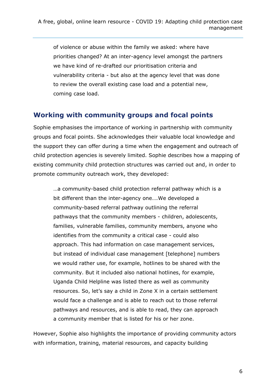of violence or abuse within the family we asked: where have priorities changed? At an inter-agency level amongst the partners we have kind of re-drafted our prioritisation criteria and vulnerability criteria - but also at the agency level that was done to review the overall existing case load and a potential new, coming case load.

#### **Working with community groups and focal points**

Sophie emphasises the importance of working in partnership with community groups and focal points. She acknowledges their valuable local knowledge and the support they can offer during a time when the engagement and outreach of child protection agencies is severely limited. Sophie describes how a mapping of existing community child protection structures was carried out and, in order to promote community outreach work, they developed:

…a community-based child protection referral pathway which is a bit different than the inter-agency one….We developed a community-based referral pathway outlining the referral pathways that the community members - children, adolescents, families, vulnerable families, community members, anyone who identifies from the community a critical case - could also approach. This had information on case management services, but instead of individual case management [telephone] numbers we would rather use, for example, hotlines to be shared with the community. But it included also national hotlines, for example, Uganda Child Helpline was listed there as well as community resources. So, let's say a child in Zone X in a certain settlement would face a challenge and is able to reach out to those referral pathways and resources, and is able to read, they can approach a community member that is listed for his or her zone.

However, Sophie also highlights the importance of providing community actors with information, training, material resources, and capacity building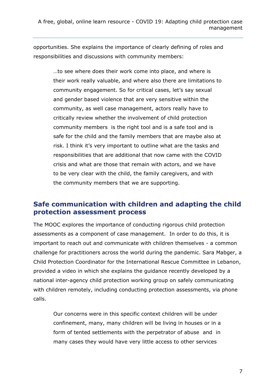opportunities. She explains the importance of clearly defining of roles and responsibilities and discussions with community members:

> …to see where does their work come into place, and where is their work really valuable, and where also there are limitations to community engagement. So for critical cases, let's say sexual and gender based violence that are very sensitive within the community, as well case management, actors really have to critically review whether the involvement of child protection community members is the right tool and is a safe tool and is safe for the child and the family members that are maybe also at risk. I think it's very important to outline what are the tasks and responsibilities that are additional that now came with the COVID crisis and what are those that remain with actors, and we have to be very clear with the child, the family caregivers, and with the community members that we are supporting.

#### **Safe communication with children and adapting the child protection assessment process**

The MOOC explores the importance of conducting rigorous child protection assessments as a component of case management. In order to do this, it is important to reach out and communicate with children themselves - a common challenge for practitioners across the world during the pandemic. Sara Mabger, a Child Protection Coordinator for the International Rescue Committee in Lebanon, provided a video in which she explains the guidance recently developed by a national inter-agency child protection working group on safely communicating with children remotely, including conducting protection assessments, via phone calls.

Our concerns were in this specific context children will be under confinement, many, many children will be living in houses or in a form of tented settlements with the perpetrator of abuse and in many cases they would have very little access to other services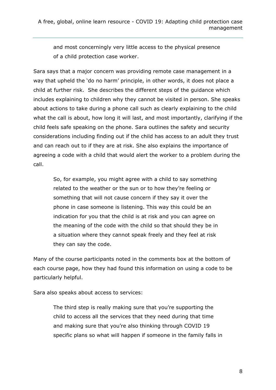and most concerningly very little access to the physical presence of a child protection case worker.

Sara says that a major concern was providing remote case management in a way that upheld the 'do no harm' principle, in other words, it does not place a child at further risk. She describes the different steps of the guidance which includes explaining to children why they cannot be visited in person. She speaks about actions to take during a phone call such as clearly explaining to the child what the call is about, how long it will last, and most importantly, clarifying if the child feels safe speaking on the phone. Sara outlines the safety and security considerations including finding out if the child has access to an adult they trust and can reach out to if they are at risk. She also explains the importance of agreeing a code with a child that would alert the worker to a problem during the call.

So, for example, you might agree with a child to say something related to the weather or the sun or to how they're feeling or something that will not cause concern if they say it over the phone in case someone is listening. This way this could be an indication for you that the child is at risk and you can agree on the meaning of the code with the child so that should they be in a situation where they cannot speak freely and they feel at risk they can say the code.

Many of the course participants noted in the comments box at the bottom of each course page, how they had found this information on using a code to be particularly helpful.

Sara also speaks about access to services:

The third step is really making sure that you're supporting the child to access all the services that they need during that time and making sure that you're also thinking through COVID 19 specific plans so what will happen if someone in the family falls in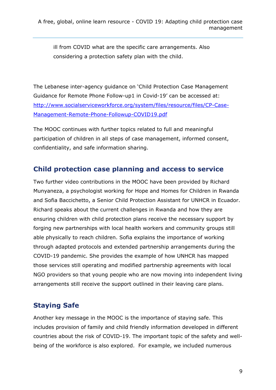ill from COVID what are the specific care arrangements. Also considering a protection safety plan with the child.

The Lebanese inter-agency guidance on 'Child Protection Case Management Guidance for Remote Phone Follow-up1 in Covid-19' can be accessed at: [http://www.socialserviceworkforce.org/system/files/resource/files/CP-Case-](http://www.socialserviceworkforce.org/system/files/resource/files/CP-Case-Management-Remote-Phone-Followup-COVID19.pdf)[Management-Remote-Phone-Followup-COVID19.pdf](http://www.socialserviceworkforce.org/system/files/resource/files/CP-Case-Management-Remote-Phone-Followup-COVID19.pdf)

The MOOC continues with further topics related to full and meaningful participation of children in all steps of case management, informed consent, confidentiality, and safe information sharing.

#### **Child protection case planning and access to service**

Two further video contributions in the MOOC have been provided by Richard Munyaneza, a psychologist working for Hope and Homes for Children in Rwanda and Sofia Baccichetto, a Senior Child Protection Assistant for UNHCR in Ecuador. Richard speaks about the current challenges in Rwanda and how they are ensuring children with child protection plans receive the necessary support by forging new partnerships with local health workers and community groups still able physically to reach children. Sofia explains the importance of working through adapted protocols and extended partnership arrangements during the COVID-19 pandemic. She provides the example of how UNHCR has mapped those services still operating and modified partnership agreements with local NGO providers so that young people who are now moving into independent living arrangements still receive the support outlined in their leaving care plans.

## **Staying Safe**

Another key message in the MOOC is the importance of staying safe. This includes provision of family and child friendly information developed in different countries about the risk of COVID-19. The important topic of the safety and wellbeing of the workforce is also explored. For example, we included numerous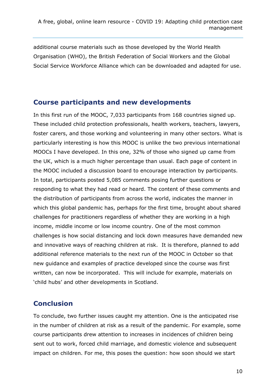additional course materials such as those developed by the World Health Organisation (WHO), the British Federation of Social Workers and the Global Social Service Workforce Alliance which can be downloaded and adapted for use.

#### **Course participants and new developments**

In this first run of the MOOC, 7,033 participants from 168 countries signed up. These included child protection professionals, health workers, teachers, lawyers, foster carers, and those working and volunteering in many other sectors. What is particularly interesting is how this MOOC is unlike the two previous international MOOCs I have developed. In this one, 32% of those who signed up came from the UK, which is a much higher percentage than usual. Each page of content in the MOOC included a discussion board to encourage interaction by participants. In total, participants posted 5,085 comments posing further questions or responding to what they had read or heard. The content of these comments and the distribution of participants from across the world, indicates the manner in which this global pandemic has, perhaps for the first time, brought about shared challenges for practitioners regardless of whether they are working in a high income, middle income or low income country. One of the most common challenges is how social distancing and lock down measures have demanded new and innovative ways of reaching children at risk. It is therefore, planned to add additional reference materials to the next run of the MOOC in October so that new guidance and examples of practice developed since the course was first written, can now be incorporated. This will include for example, materials on 'child hubs' and other developments in Scotland.

#### **Conclusion**

To conclude, two further issues caught my attention. One is the anticipated rise in the number of children at risk as a result of the pandemic. For example, some course participants drew attention to increases in incidences of children being sent out to work, forced child marriage, and domestic violence and subsequent impact on children. For me, this poses the question: how soon should we start